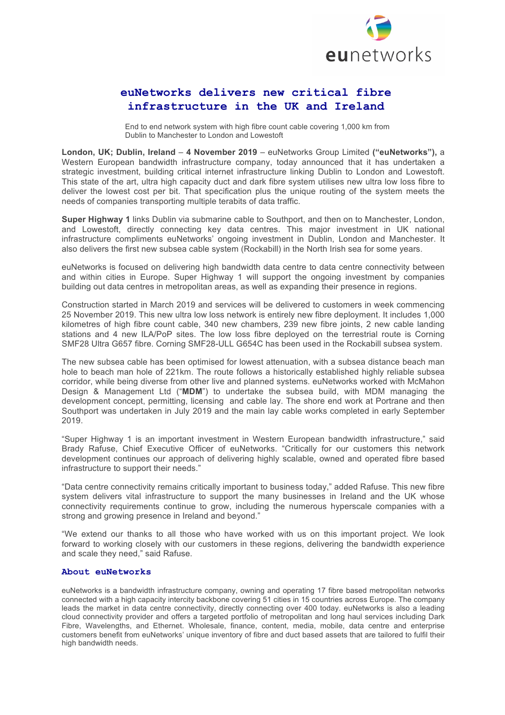

## **euNetworks delivers new critical fibre infrastructure in the UK and Ireland**

End to end network system with high fibre count cable covering 1,000 km from Dublin to Manchester to London and Lowestoft

**London, UK; Dublin, Ireland** – **4 November 2019** – euNetworks Group Limited **("euNetworks"),** a Western European bandwidth infrastructure company, today announced that it has undertaken a strategic investment, building critical internet infrastructure linking Dublin to London and Lowestoft. This state of the art, ultra high capacity duct and dark fibre system utilises new ultra low loss fibre to deliver the lowest cost per bit. That specification plus the unique routing of the system meets the needs of companies transporting multiple terabits of data traffic.

**Super Highway 1** links Dublin via submarine cable to Southport, and then on to Manchester, London, and Lowestoft, directly connecting key data centres. This major investment in UK national infrastructure compliments euNetworks' ongoing investment in Dublin, London and Manchester. It also delivers the first new subsea cable system (Rockabill) in the North Irish sea for some years.

euNetworks is focused on delivering high bandwidth data centre to data centre connectivity between and within cities in Europe. Super Highway 1 will support the ongoing investment by companies building out data centres in metropolitan areas, as well as expanding their presence in regions.

Construction started in March 2019 and services will be delivered to customers in week commencing 25 November 2019. This new ultra low loss network is entirely new fibre deployment. It includes 1,000 kilometres of high fibre count cable, 340 new chambers, 239 new fibre joints, 2 new cable landing stations and 4 new ILA/PoP sites. The low loss fibre deployed on the terrestrial route is Corning SMF28 Ultra G657 fibre. Corning SMF28-ULL G654C has been used in the Rockabill subsea system.

The new subsea cable has been optimised for lowest attenuation, with a subsea distance beach man hole to beach man hole of 221km. The route follows a historically established highly reliable subsea corridor, while being diverse from other live and planned systems. euNetworks worked with McMahon Design & Management Ltd ("**MDM**") to undertake the subsea build, with MDM managing the development concept, permitting, licensing and cable lay. The shore end work at Portrane and then Southport was undertaken in July 2019 and the main lay cable works completed in early September 2019.

"Super Highway 1 is an important investment in Western European bandwidth infrastructure," said Brady Rafuse, Chief Executive Officer of euNetworks. "Critically for our customers this network development continues our approach of delivering highly scalable, owned and operated fibre based infrastructure to support their needs."

"Data centre connectivity remains critically important to business today," added Rafuse. This new fibre system delivers vital infrastructure to support the many businesses in Ireland and the UK whose connectivity requirements continue to grow, including the numerous hyperscale companies with a strong and growing presence in Ireland and beyond."

"We extend our thanks to all those who have worked with us on this important project. We look forward to working closely with our customers in these regions, delivering the bandwidth experience and scale they need," said Rafuse.

## **About euNetworks**

euNetworks is a bandwidth infrastructure company, owning and operating 17 fibre based metropolitan networks connected with a high capacity intercity backbone covering 51 cities in 15 countries across Europe. The company leads the market in data centre connectivity, directly connecting over 400 today. euNetworks is also a leading cloud connectivity provider and offers a targeted portfolio of metropolitan and long haul services including Dark Fibre, Wavelengths, and Ethernet. Wholesale, finance, content, media, mobile, data centre and enterprise customers benefit from euNetworks' unique inventory of fibre and duct based assets that are tailored to fulfil their high bandwidth needs.